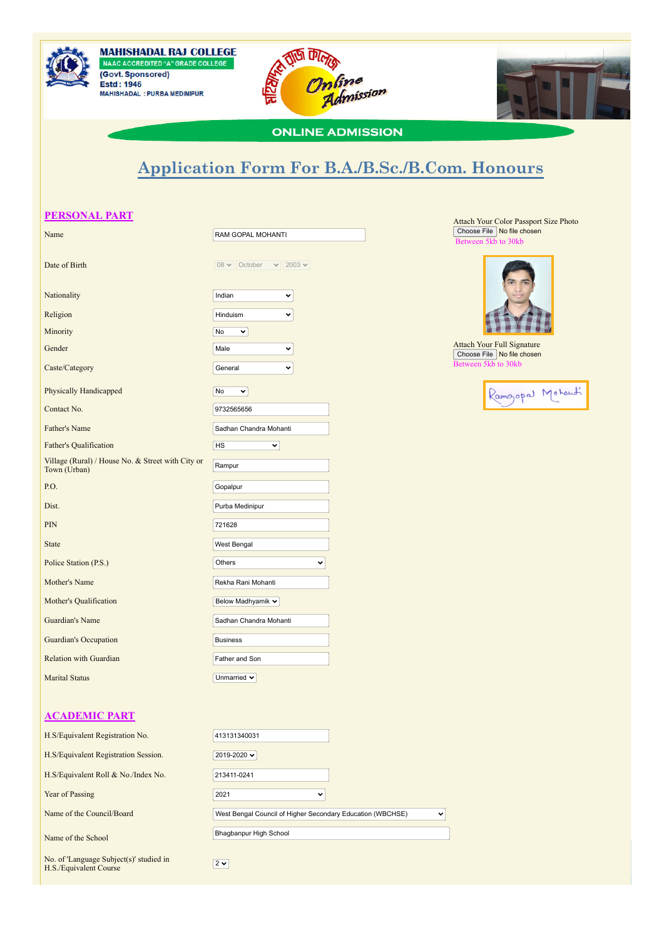





## **ONLINE ADMISSION**

# **Application Form For B.A./B.Sc./B.Com. Honours**

# **PERSONAL PART** Name RAM GOPAL MOHANTI 08  $\vee$  October  $\vee$  2003  $\vee$ Date of Birth Nationality **Indian**  $\ddot{\phantom{0}}$ Religion **Hinduism**  $\ddotmark$ Minority No. 2008. The Contract of the Contract of the Contract of the Contract of the Contract of the Contract of the Contract of the Contract of the Contract of the Contract of the Contract of the Contract of the Contrac  $\overline{\mathbf{v}}$ Gender Male National Communication of the Male  $\ddotmark$ **Caste/Category** General  $\ddot{\phantom{0}}$ Physically Handicapped  $N_0 \rightarrow N_1$ Contact No. 9732565656 Father's Name Sadhan Chandra Mohanti Father's Qualification HS  $\overline{\mathbf{v}}$ Village (Rural) / House No. & Street with City or Village (Kural) / House No.  $\alpha$  Street with City or Rampur<br>Town (Urban) P.O. September 2008 and the contract of the contract of the contract of the contract of the contract of the contract of the contract of the contract of the contract of the contract of the contract of the contract of the co **Dist.** Purba Medinipur PIN 721628 **State** West Bengal Police Station (P.S.) Others  $\overline{\phantom{0}}$ **Mother's Name Rekha Rani Mohanti** Mother's Qualification Below Madhyamik  $\sim$ **Guardian's Name** Sadhan Chandra Mohanti Guardian's Occupation Business Relation with Guardian Father and Son Marital Status **Unmarried V**

#### Attach Your Color Passport Size Photo Choose File No file chosen  $\overline{6}$  30kb



Attach Your Full Signature Choose File No file chosen  $b$  reen 5kb to 30kb



## **ACADEMIC PART**

| H.S/Equivalent Registration No.                                   | 413131340031                                               |              |
|-------------------------------------------------------------------|------------------------------------------------------------|--------------|
| H.S/Equivalent Registration Session.                              | 2019-2020 V                                                |              |
| H.S/Equivalent Roll & No./Index No.                               | 213411-0241                                                |              |
| Year of Passing                                                   | 2021<br>丷                                                  |              |
| Name of the Council/Board                                         | West Bengal Council of Higher Secondary Education (WBCHSE) | $\checkmark$ |
| Name of the School                                                | Bhagbanpur High School                                     |              |
| No. of 'Language Subject(s)' studied in<br>H.S./Equivalent Course | $2 \times$                                                 |              |